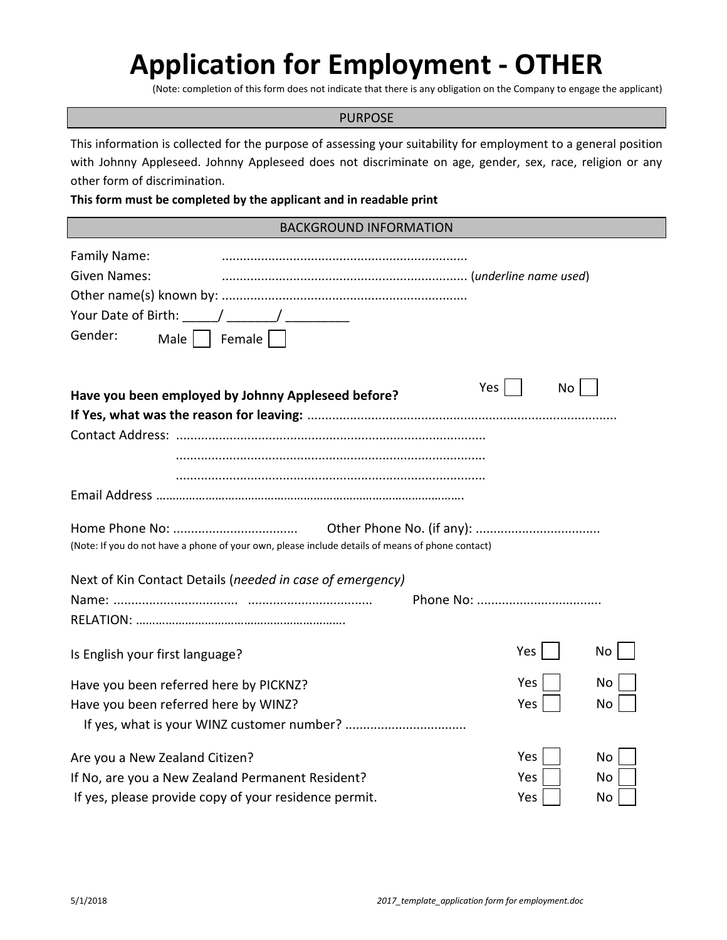# **Application for Employment - OTHER**

(Note: completion of this form does not indicate that there is any obligation on the Company to engage the applicant)

#### PURPOSE

This information is collected for the purpose of assessing your suitability for employment to a general position with Johnny Appleseed. Johnny Appleseed does not discriminate on age, gender, sex, race, religion or any other form of discrimination.

#### **This form must be completed by the applicant and in readable print**

# BACKGROUND INFORMATION

| Family Name:                                                                                     |           |    |
|--------------------------------------------------------------------------------------------------|-----------|----|
| <b>Given Names:</b>                                                                              |           |    |
|                                                                                                  |           |    |
|                                                                                                  |           |    |
| Gender:<br>Male $ $   Female $ $                                                                 |           |    |
|                                                                                                  | Yes<br>No |    |
| Have you been employed by Johnny Appleseed before?                                               |           |    |
|                                                                                                  |           |    |
|                                                                                                  |           |    |
|                                                                                                  |           |    |
|                                                                                                  |           |    |
| (Note: If you do not have a phone of your own, please include details of means of phone contact) |           |    |
| Next of Kin Contact Details (needed in case of emergency)                                        |           |    |
|                                                                                                  |           |    |
| Is English your first language?                                                                  | Yes       | No |
| Have you been referred here by PICKNZ?                                                           | Yes       | No |
| Have you been referred here by WINZ?                                                             | Yes       | No |
|                                                                                                  |           |    |
| Are you a New Zealand Citizen?                                                                   | Yes       | No |
| If No, are you a New Zealand Permanent Resident?                                                 | Yes       | No |
| If yes, please provide copy of your residence permit.                                            | Yes       | No |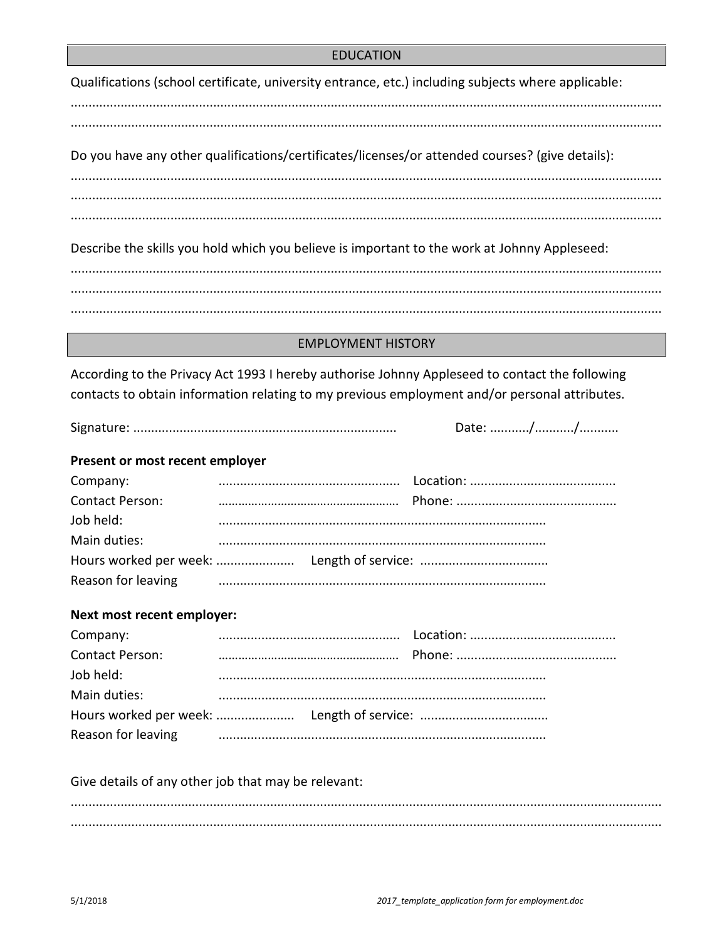#### **EDUCATION**

Qualifications (school certificate, university entrance, etc.) including subjects where applicable:

Do you have any other qualifications/certificates/licenses/or attended courses? (give details):

Describe the skills you hold which you believe is important to the work at Johnny Appleseed:

## **EMPLOYMENT HISTORY**

According to the Privacy Act 1993 I hereby authorise Johnny Appleseed to contact the following contacts to obtain information relating to my previous employment and/or personal attributes.

Date: .........../.........../...........

# Present or most recent employer

| Company:               |                                                                                                     |  |
|------------------------|-----------------------------------------------------------------------------------------------------|--|
| <b>Contact Person:</b> |                                                                                                     |  |
| Job held:              |                                                                                                     |  |
| Main duties:           |                                                                                                     |  |
|                        |                                                                                                     |  |
|                        | Reason for leaving manufactured contains and the contract of the contract of the Reason for leaving |  |

# Next most recent employer:

| Company:               |  |  |
|------------------------|--|--|
| <b>Contact Person:</b> |  |  |
| Job held:              |  |  |
| Main duties:           |  |  |
|                        |  |  |
| Reason for leaving     |  |  |

Give details of any other job that may be relevant: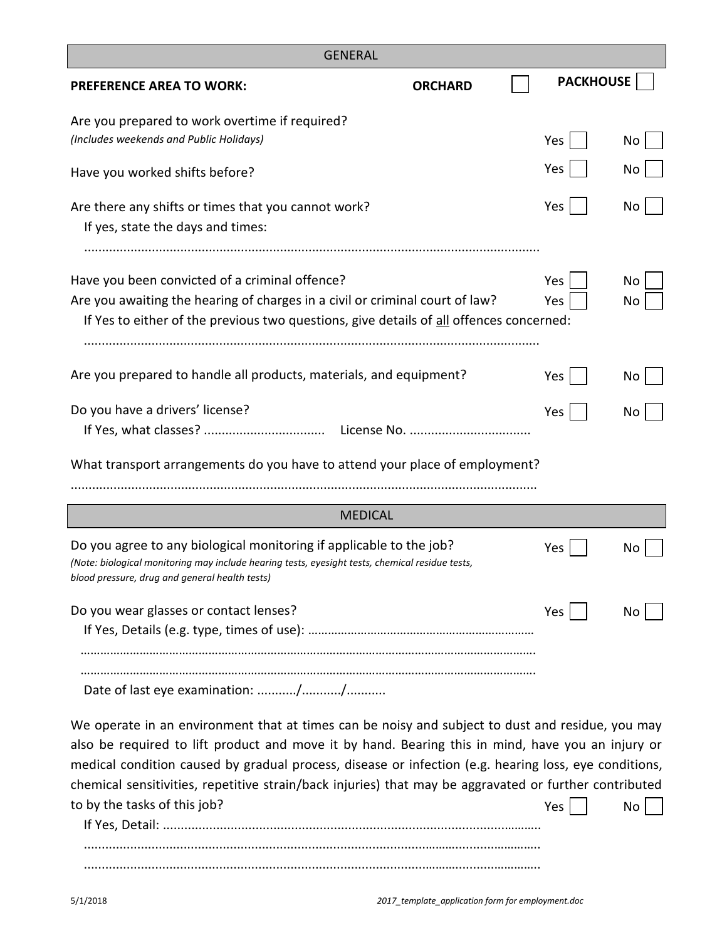| <b>GENERAL</b>                                                                                                                                                                                                                                                                                                                                                                                                                                           |                |  |                  |          |
|----------------------------------------------------------------------------------------------------------------------------------------------------------------------------------------------------------------------------------------------------------------------------------------------------------------------------------------------------------------------------------------------------------------------------------------------------------|----------------|--|------------------|----------|
| <b>PREFERENCE AREA TO WORK:</b>                                                                                                                                                                                                                                                                                                                                                                                                                          | <b>ORCHARD</b> |  | <b>PACKHOUSE</b> |          |
| Are you prepared to work overtime if required?<br>(Includes weekends and Public Holidays)                                                                                                                                                                                                                                                                                                                                                                |                |  | Yes              | No       |
| Have you worked shifts before?                                                                                                                                                                                                                                                                                                                                                                                                                           |                |  | Yes              | No       |
| Are there any shifts or times that you cannot work?<br>If yes, state the days and times:                                                                                                                                                                                                                                                                                                                                                                 |                |  | Yes              | No       |
| Have you been convicted of a criminal offence?<br>Are you awaiting the hearing of charges in a civil or criminal court of law?<br>If Yes to either of the previous two questions, give details of all offences concerned:                                                                                                                                                                                                                                |                |  | Yes<br>Yes       | No<br>No |
| Are you prepared to handle all products, materials, and equipment?                                                                                                                                                                                                                                                                                                                                                                                       |                |  | Yes              | No       |
| Do you have a drivers' license?                                                                                                                                                                                                                                                                                                                                                                                                                          |                |  | Yes              | No       |
| What transport arrangements do you have to attend your place of employment?                                                                                                                                                                                                                                                                                                                                                                              |                |  |                  |          |
|                                                                                                                                                                                                                                                                                                                                                                                                                                                          |                |  |                  |          |
| <b>MEDICAL</b>                                                                                                                                                                                                                                                                                                                                                                                                                                           |                |  |                  |          |
| Do you agree to any biological monitoring if applicable to the job?<br>(Note: biological monitoring may include hearing tests, eyesight tests, chemical residue tests,<br>blood pressure, drug and general health tests)                                                                                                                                                                                                                                 |                |  | Yes              | No       |
| Do you wear glasses or contact lenses?                                                                                                                                                                                                                                                                                                                                                                                                                   |                |  | Yes              | Nο       |
|                                                                                                                                                                                                                                                                                                                                                                                                                                                          |                |  |                  |          |
| Date of last eye examination: //                                                                                                                                                                                                                                                                                                                                                                                                                         |                |  |                  |          |
| We operate in an environment that at times can be noisy and subject to dust and residue, you may<br>also be required to lift product and move it by hand. Bearing this in mind, have you an injury or<br>medical condition caused by gradual process, disease or infection (e.g. hearing loss, eye conditions,<br>chemical sensitivities, repetitive strain/back injuries) that may be aggravated or further contributed<br>to by the tasks of this job? |                |  | Yes              | No       |
|                                                                                                                                                                                                                                                                                                                                                                                                                                                          |                |  |                  |          |